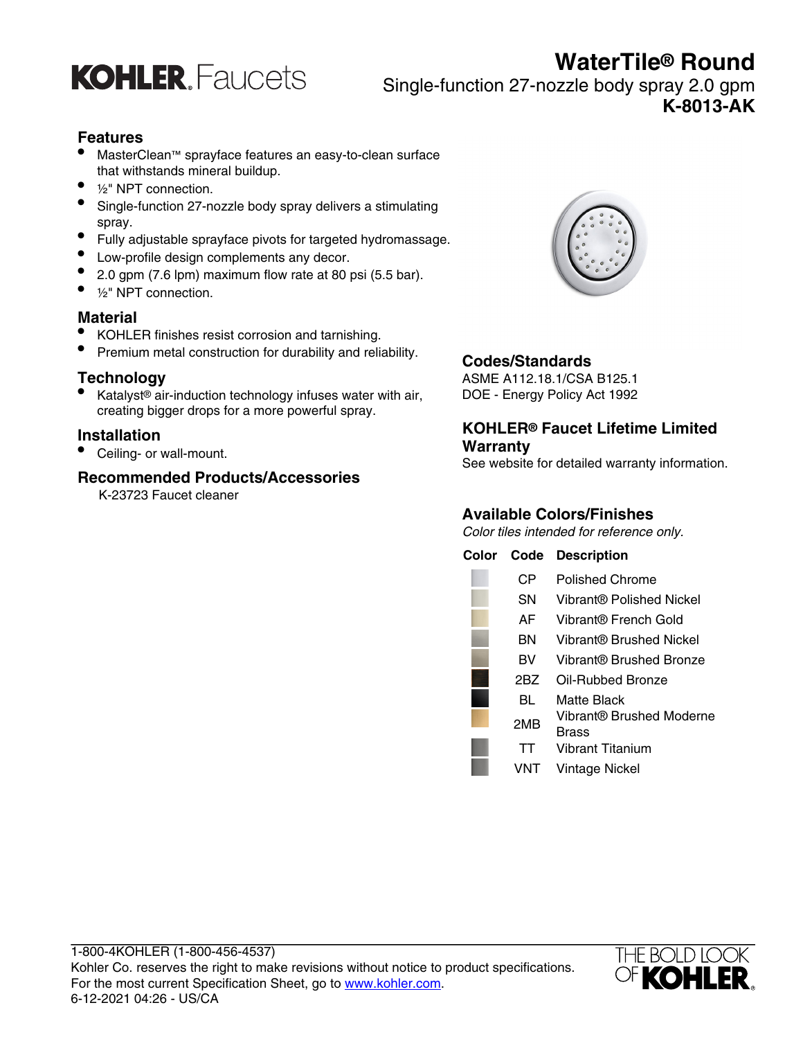

## **WaterTile® Round**

Single-function 27-nozzle body spray 2.0 gpm **K-8013-AK**

#### **Features**

- MasterClean™ sprayface features an easy-to-clean surface that withstands mineral buildup.
- $1/2$ " NPT connection.
- Single-function 27-nozzle body spray delivers a stimulating spray.
- Fully adjustable sprayface pivots for targeted hydromassage.
- Low-profile design complements any decor.
- 2.0 gpm (7.6 lpm) maximum flow rate at 80 psi (5.5 bar).
- 1/<sub>2</sub>" NPT connection.

#### **Material**

- KOHLER finishes resist corrosion and tarnishing.
- Premium metal construction for durability and reliability.

#### **Technology**

• Katalyst® air-induction technology infuses water with air, creating bigger drops for a more powerful spray.

#### **Installation**

• Ceiling- or wall-mount.

#### **Recommended Products/Accessories**

K-23723 Faucet cleaner



#### **Codes/Standards**

ASME A112.18.1/CSA B125.1 DOE - Energy Policy Act 1992

#### **KOHLER® Faucet Lifetime Limited Warranty**

See website for detailed warranty information.

### **Available Colors/Finishes**

Color tiles intended for reference only.

| Color | Code | <b>Description</b>                |
|-------|------|-----------------------------------|
|       | CР   | <b>Polished Chrome</b>            |
|       | SΝ   | Vibrant® Polished Nickel          |
|       | AF   | Vibrant® French Gold              |
|       | ΒN   | Vibrant® Brushed Nickel           |
|       | вv   | Vibrant® Brushed Bronze           |
|       | 2BZ  | Oil-Rubbed Bronze                 |
|       | BL   | Matte Black                       |
|       | 2MB  | Vibrant® Brushed Moderne<br>Brass |
|       | TТ   | Vibrant Titanium                  |
|       | VNT  | Vintage Nickel                    |